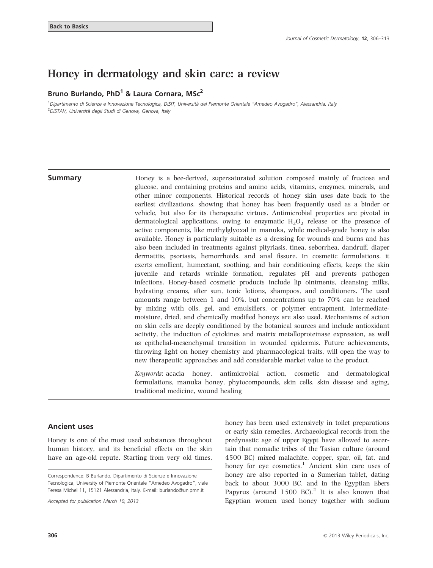# Honey in dermatology and skin care: a review

### Bruno Burlando, PhD<sup>1</sup> & Laura Cornara, MSc<sup>2</sup>

<sup>1</sup>Dipartimento di Scienze e Innovazione Tecnologica, DiSIT, Università del Piemonte Orientale "Amedeo Avogadro", Alessandria, Italy <sup>2</sup>DiSTAV, Università degli Studi di Genova, Genova, Italy

**Summary Honey** is a bee-derived, supersaturated solution composed mainly of fructose and glucose, and containing proteins and amino acids, vitamins, enzymes, minerals, and other minor components. Historical records of honey skin uses date back to the earliest civilizations, showing that honey has been frequently used as a binder or vehicle, but also for its therapeutic virtues. Antimicrobial properties are pivotal in dermatological applications, owing to enzymatic  $H_2O_2$  release or the presence of active components, like methylglyoxal in manuka, while medical-grade honey is also available. Honey is particularly suitable as a dressing for wounds and burns and has also been included in treatments against pityriasis, tinea, seborrhea, dandruff, diaper dermatitis, psoriasis, hemorrhoids, and anal fissure. In cosmetic formulations, it exerts emollient, humectant, soothing, and hair conditioning effects, keeps the skin juvenile and retards wrinkle formation, regulates pH and prevents pathogen infections. Honey-based cosmetic products include lip ointments, cleansing milks, hydrating creams, after sun, tonic lotions, shampoos, and conditioners. The used amounts range between 1 and 10%, but concentrations up to 70% can be reached by mixing with oils, gel, and emulsifiers, or polymer entrapment. Intermediatemoisture, dried, and chemically modified honeys are also used. Mechanisms of action on skin cells are deeply conditioned by the botanical sources and include antioxidant activity, the induction of cytokines and matrix metalloproteinase expression, as well as epithelial-mesenchymal transition in wounded epidermis. Future achievements, throwing light on honey chemistry and pharmacological traits, will open the way to new therapeutic approaches and add considerable market value to the product.

> Keywords: acacia honey, antimicrobial action, cosmetic and dermatological formulations, manuka honey, phytocompounds, skin cells, skin disease and aging, traditional medicine, wound healing

#### Ancient uses

Honey is one of the most used substances throughout human history, and its beneficial effects on the skin have an age-old repute. Starting from very old times,

Accepted for publication March 10, 2013

honey has been used extensively in toilet preparations or early skin remedies. Archaeological records from the predynastic age of upper Egypt have allowed to ascertain that nomadic tribes of the Tasian culture (around 4500 BC) mixed malachite, copper, spar, oil, fat, and honey for eye cosmetics.<sup>1</sup> Ancient skin care uses of honey are also reported in a Sumerian tablet, dating back to about 3000 BC, and in the Egyptian Ebers Papyrus (around  $1500$  BC).<sup>2</sup> It is also known that Egyptian women used honey together with sodium

Correspondence: B Burlando, Dipartimento di Scienze e Innovazione Tecnologica, University of Piemonte Orientale "Amedeo Avogadro", viale Teresa Michel 11, 15121 Alessandria, Italy. E-mail: burlando@unipmn.it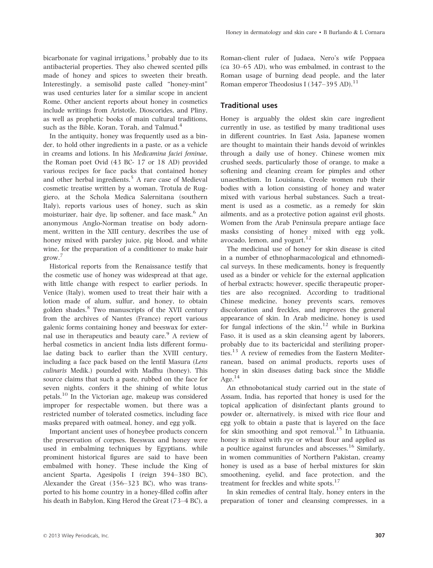bicarbonate for vaginal irrigations, $3$  probably due to its antibacterial properties. They also chewed scented pills made of honey and spices to sweeten their breath. Interestingly, a semisolid paste called "honey-mint" was used centuries later for a similar scope in ancient Rome. Other ancient reports about honey in cosmetics include writings from Aristotle, Dioscorides, and Pliny, as well as prophetic books of main cultural traditions, such as the Bible, Koran, Torah, and Talmud.<sup>4</sup>

In the antiquity, honey was frequently used as a binder, to hold other ingredients in a paste, or as a vehicle in creams and lotions. In his Medicamina faciei feminae, the Roman poet Ovid (43 BC- 17 or 18 AD) provided various recipes for face packs that contained honey and other herbal ingredients.<sup>5</sup> A rare case of Medieval cosmetic treatise written by a woman, Trotula de Ruggiero, at the Schola Medica Salernitana (southern Italy), reports various uses of honey, such as skin moisturizer, hair dye, lip softener, and face mask.<sup>6</sup> An anonymous Anglo-Norman treatise on body adornment, written in the XIII century, describes the use of honey mixed with parsley juice, pig blood, and white wine, for the preparation of a conditioner to make hair grow.<sup>7</sup>

Historical reports from the Renaissance testify that the cosmetic use of honey was widespread at that age, with little change with respect to earlier periods. In Venice (Italy), women used to treat their hair with a lotion made of alum, sulfur, and honey, to obtain golden shades.<sup>8</sup> Two manuscripts of the XVII century from the archives of Nantes (France) report various galenic forms containing honey and beeswax for external use in therapeutics and beauty care.<sup>9</sup> A review of herbal cosmetics in ancient India lists different formulae dating back to earlier than the XVIII century, including a face pack based on the lentil Masura (Lens culinaris Medik.) pounded with Madhu (honey). This source claims that such a paste, rubbed on the face for seven nights, confers it the shining of white lotus petals.<sup>10</sup> In the Victorian age, makeup was considered improper for respectable women, but there was a restricted number of tolerated cosmetics, including face masks prepared with oatmeal, honey, and egg yolk.

Important ancient uses of honeybee products concern the preservation of corpses. Beeswax and honey were used in embalming techniques by Egyptians, while prominent historical figures are said to have been embalmed with honey. These include the King of ancient Sparta, Agesipolis I (reign 394–380 BC), Alexander the Great (356–323 BC), who was transported to his home country in a honey-filled coffin after his death in Babylon, King Herod the Great (73–4 BC), a

Roman-client ruler of Judaea, Nero's wife Poppaea (ca 30–65 AD), who was embalmed, in contrast to the Roman usage of burning dead people, and the later Roman emperor Theodosius I (347–395 AD).<sup>11</sup>

## Traditional uses

Honey is arguably the oldest skin care ingredient currently in use, as testified by many traditional uses in different countries. In East Asia, Japanese women are thought to maintain their hands devoid of wrinkles through a daily use of honey. Chinese women mix crushed seeds, particularly those of orange, to make a softening and cleaning cream for pimples and other unaesthetism. In Louisiana, Creole women rub their bodies with a lotion consisting of honey and water mixed with various herbal substances. Such a treatment is used as a cosmetic, as a remedy for skin ailments, and as a protective potion against evil ghosts. Women from the Arab Peninsula prepare antiage face masks consisting of honey mixed with egg yolk, avocado, lemon, and yogurt.<sup>12</sup>

The medicinal use of honey for skin disease is cited in a number of ethnopharmacological and ethnomedical surveys. In these medicaments, honey is frequently used as a binder or vehicle for the external application of herbal extracts; however, specific therapeutic properties are also recognized. According to traditional Chinese medicine, honey prevents scars, removes discoloration and freckles, and improves the general appearance of skin. In Arab medicine, honey is used for fungal infections of the  $\sin^{-12}$  while in Burkina Faso, it is used as a skin cleansing agent by laborers, probably due to its bactericidal and sterilizing properties.<sup>13</sup> A review of remedies from the Eastern Mediterranean, based on animal products, reports uses of honey in skin diseases dating back since the Middle Age. $^{14}$ 

An ethnobotanical study carried out in the state of Assam, India, has reported that honey is used for the topical application of disinfectant plants ground to powder or, alternatively, is mixed with rice flour and egg yolk to obtain a paste that is layered on the face for skin smoothing and spot removal.<sup>15</sup> In Lithuania, honey is mixed with rye or wheat flour and applied as a poultice against furuncles and abscesses.<sup>16</sup> Similarly, in women communities of Northern Pakistan, creamy honey is used as a base of herbal mixtures for skin smoothening, eyelid, and face protection, and the treatment for freckles and white spots. $17$ 

In skin remedies of central Italy, honey enters in the preparation of toner and cleansing compresses, in a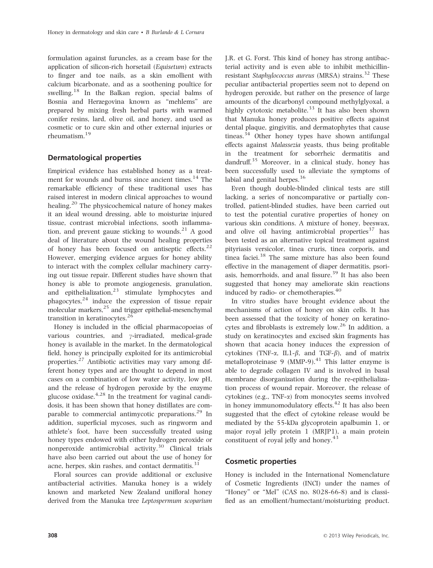formulation against furuncles, as a cream base for the application of silicon-rich horsetail (Equisetum) extracts to finger and toe nails, as a skin emollient with calcium bicarbonate, and as a soothening poultice for swelling.<sup>18</sup> In the Balkan region, special balms of Bosnia and Herzegovina known as "mehlems" are prepared by mixing fresh herbal parts with warmed conifer resins, lard, olive oil, and honey, and used as cosmetic or to cure skin and other external injuries or rheumatism.<sup>19</sup>

### Dermatological properties

Empirical evidence has established honey as a treatment for wounds and burns since ancient times.<sup>14</sup> The remarkable efficiency of these traditional uses has raised interest in modern clinical approaches to wound healing.<sup>20</sup> The physicochemical nature of honey makes it an ideal wound dressing, able to moisturize injured tissue, contrast microbial infections, sooth inflammation, and prevent gauze sticking to wounds. $^{21}$  A good deal of literature about the wound healing properties of honey has been focused on antiseptic effects. $22$ However, emerging evidence argues for honey ability to interact with the complex cellular machinery carrying out tissue repair. Different studies have shown that honey is able to promote angiogenesis, granulation, and epithelialization, $23$  stimulate lymphocytes and phagocytes,<sup>24</sup> induce the expression of tissue repair molecular markers, $^{25}$  and trigger epithelial-mesenchymal transition in keratinocytes.<sup>26</sup>

Honey is included in the official pharmacopoeias of various countries, and  $\gamma$ -irradiated, medical-grade honey is available in the market. In the dermatological field, honey is principally exploited for its antimicrobial properties.<sup>27</sup> Antibiotic activities may vary among different honey types and are thought to depend in most cases on a combination of low water activity, low pH, and the release of hydrogen peroxide by the enzyme glucose oxidase. $4.28$  In the treatment for vaginal candidosis, it has been shown that honey distillates are comparable to commercial antimycotic preparations. $^{29}$  In addition, superficial mycoses, such as ringworm and athlete's foot, have been successfully treated using honey types endowed with either hydrogen peroxide or nonperoxide antimicrobial activity.<sup>30</sup> Clinical trials have also been carried out about the use of honey for acne, herpes, skin rashes, and contact dermatitis.<sup>31</sup>

Floral sources can provide additional or exclusive antibacterial activities. Manuka honey is a widely known and marketed New Zealand unifloral honey derived from the Manuka tree Leptospermum scoparium

J.R. et G. Forst. This kind of honey has strong antibacterial activity and is even able to inhibit methicillinresistant Staphylococcus aureus (MRSA) strains.<sup>32</sup> These peculiar antibacterial properties seem not to depend on hydrogen peroxide, but rather on the presence of large amounts of the dicarbonyl compound methylglyoxal, a highly cytotoxic metabolite.<sup>33</sup> It has also been shown that Manuka honey produces positive effects against dental plaque, gingivitis, and dermatophytes that cause tineas.<sup>34</sup> Other honey types have shown antifungal effects against Malassezia yeasts, thus being profitable in the treatment for seborrheic dermatitis and dandruff.35 Moreover, in a clinical study, honey has been successfully used to alleviate the symptoms of labial and genital herpes.<sup>36</sup>

Even though double-blinded clinical tests are still lacking, a series of noncomparative or partially controlled, patient-blinded studies, have been carried out to test the potential curative properties of honey on various skin conditions. A mixture of honey, beeswax, and olive oil having antimicrobial properties $37$  has been tested as an alternative topical treatment against pityriasis versicolor, tinea cruris, tinea corporis, and tinea faciei.<sup>38</sup> The same mixture has also been found effective in the management of diaper dermatitis, psoriasis, hemorrhoids, and anal fissure.<sup>39</sup> It has also been suggested that honey may ameliorate skin reactions induced by radio- or chemotherapies.<sup>40</sup>

In vitro studies have brought evidence about the mechanisms of action of honey on skin cells. It has been assessed that the toxicity of honey on keratinocytes and fibroblasts is extremely  $low.^{26}$  In addition, a study on keratinocytes and excised skin fragments has shown that acacia honey induces the expression of cytokines (TNF- $\alpha$ , IL1- $\beta$ , and TGF- $\beta$ ), and of matrix metalloproteinase 9 (MMP-9). $^{41}$  This latter enzyme is able to degrade collagen IV and is involved in basal membrane disorganization during the re-epithelialization process of wound repair. Moreover, the release of cytokines (e.g., TNF-a) from monocytes seems involved in honey immunomodulatory effects. $42$  It has also been suggested that the effect of cytokine release would be mediated by the 55-kDa glycoprotein apalbumin 1, or major royal jelly protein 1 (MRJP1), a main protein constituent of royal jelly and honey.<sup>43</sup>

#### Cosmetic properties

Honey is included in the International Nomenclature of Cosmetic Ingredients (INCI) under the names of "Honey" or "Mel" (CAS no. 8028-66-8) and is classified as an emollient/humectant/moisturizing product.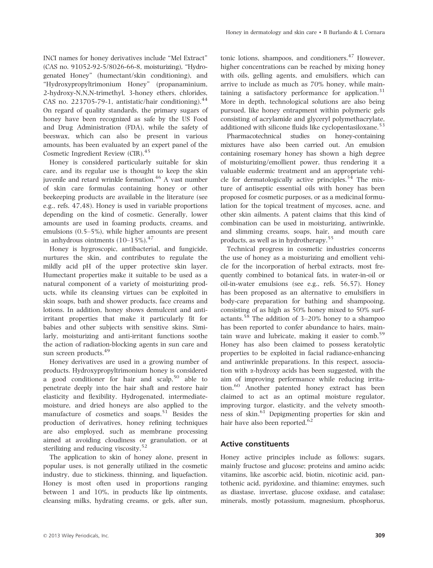INCI names for honey derivatives include "Mel Extract" (CAS no. 91052-92-5/8026-66-8, moisturizing), "Hydrogenated Honey" (humectant/skin conditioning), and "Hydroxypropyltrimonium Honey" (propanaminium, 2-hydroxy-N,N,N-trimethyl, 3-honey ethers, chlorides, CAS no. 223705-79-1, antistatic/hair conditioning). $^{44}$ On regard of quality standards, the primary sugars of honey have been recognized as safe by the US Food and Drug Administration (FDA), while the safety of beeswax, which can also be present in various amounts, has been evaluated by an expert panel of the Cosmetic Ingredient Review (CIR).<sup>45</sup>

Honey is considered particularly suitable for skin care, and its regular use is thought to keep the skin juvenile and retard wrinkle formation.<sup>46</sup> A vast number of skin care formulas containing honey or other beekeeping products are available in the literature (see e.g., refs. 47,48). Honey is used in variable proportions depending on the kind of cosmetic. Generally, lower amounts are used in foaming products, creams, and emulsions (0.5–5%), while higher amounts are present in anhydrous ointments  $(10-15\%)$ .<sup>47</sup>

Honey is hygroscopic, antibacterial, and fungicide, nurtures the skin, and contributes to regulate the mildly acid pH of the upper protective skin layer. Humectant properties make it suitable to be used as a natural component of a variety of moisturizing products, while its cleansing virtues can be exploited in skin soaps, bath and shower products, face creams and lotions. In addition, honey shows demulcent and antiirritant properties that make it particularly fit for babies and other subjects with sensitive skins. Similarly, moisturizing and anti-irritant functions soothe the action of radiation-blocking agents in sun care and sun screen products.<sup>49</sup>

Honey derivatives are used in a growing number of products. Hydroxypropyltrimonium honey is considered a good conditioner for hair and scalp,  $50$  able to penetrate deeply into the hair shaft and restore hair elasticity and flexibility. Hydrogenated, intermediatemoisture, and dried honeys are also applied to the manufacture of cosmetics and soaps.<sup>51</sup> Besides the production of derivatives, honey refining techniques are also employed, such as membrane processing aimed at avoiding cloudiness or granulation, or at sterilizing and reducing viscosity.<sup>52</sup>

The application to skin of honey alone, present in popular uses, is not generally utilized in the cosmetic industry, due to stickiness, thinning, and liquefaction. Honey is most often used in proportions ranging between 1 and 10%, in products like lip ointments, cleansing milks, hydrating creams, or gels, after sun, tonic lotions, shampoos, and conditioners. $47$  However, higher concentrations can be reached by mixing honey with oils, gelling agents, and emulsifiers, which can arrive to include as much as 70% honey, while maintaining a satisfactory performance for application.<sup>31</sup> More in depth, technological solutions are also being pursued, like honey entrapment within polymeric gels consisting of acrylamide and glyceryl polymethacrylate, additioned with silicone fluids like cyclopentasiloxane.<sup>53</sup>

Pharmacotechnical studies on honey-containing mixtures have also been carried out. An emulsion containing rosemary honey has shown a high degree of moisturizing/emollient power, thus rendering it a valuable eudermic treatment and an appropriate vehicle for dermatologically active principles.<sup>54</sup> The mixture of antiseptic essential oils with honey has been proposed for cosmetic purposes, or as a medicinal formulation for the topical treatment of mycoses, acne, and other skin ailments. A patent claims that this kind of combination can be used in moisturizing, antiwrinkle, and slimming creams, soaps, hair, and mouth care products, as well as in hydrotherapy.<sup>55</sup>

Technical progress in cosmetic industries concerns the use of honey as a moisturizing and emollient vehicle for the incorporation of herbal extracts, most frequently combined to botanical fats, in water-in-oil or oil-in-water emulsions (see e.g., refs. 56,57). Honey has been proposed as an alternative to emulsifiers in body-care preparation for bathing and shampooing, consisting of as high as 50% honey mixed to 50% surfactants.<sup>58</sup> The addition of  $3-20%$  honey to a shampoo has been reported to confer abundance to hairs, maintain wave and lubricate, making it easier to comb.<sup>59</sup> Honey has also been claimed to possess keratolytic properties to be exploited in facial radiance-enhancing and antiwrinkle preparations. In this respect, association with a-hydroxy acids has been suggested, with the aim of improving performance while reducing irritation.<sup>60</sup> Another patented honey extract has been claimed to act as an optimal moisture regulator, improving turgor, elasticity, and the velvety smoothness of skin.<sup>61</sup> Depigmenting properties for skin and hair have also been reported.<sup>62</sup>

#### Active constituents

Honey active principles include as follows: sugars, mainly fructose and glucose; proteins and amino acids; vitamins, like ascorbic acid, biotin, nicotinic acid, pantothenic acid, pyridoxine, and thiamine; enzymes, such as diastase, invertase, glucose oxidase, and catalase; minerals, mostly potassium, magnesium, phosphorus,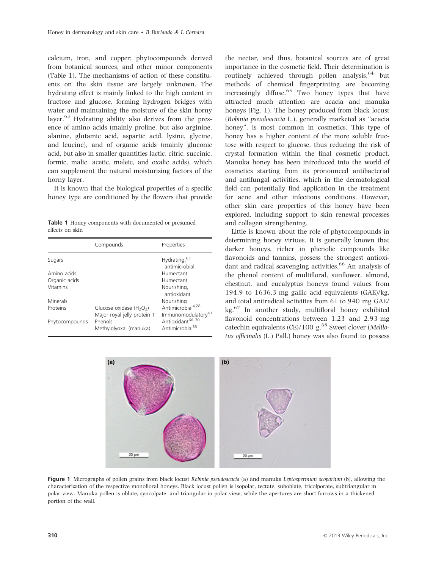calcium, iron, and copper; phytocompounds derived from botanical sources, and other minor components (Table 1). The mechanisms of action of these constituents on the skin tissue are largely unknown. The hydrating effect is mainly linked to the high content in fructose and glucose, forming hydrogen bridges with water and maintaining the moisture of the skin horny layer.<sup>63</sup> Hydrating ability also derives from the presence of amino acids (mainly proline, but also arginine, alanine, glutamic acid, aspartic acid, lysine, glycine, and leucine), and of organic acids (mainly gluconic acid, but also in smaller quantities lactic, citric, succinic, formic, malic, acetic, maleic, and oxalic acids), which can supplement the natural moisturizing factors of the horny layer.

It is known that the biological properties of a specific honey type are conditioned by the flowers that provide

Table 1 Honey components with documented or presumed effects on skin

|                | Compounds                                                 | Properties                                                      |
|----------------|-----------------------------------------------------------|-----------------------------------------------------------------|
| Sugars         |                                                           | Hydrating, 63<br>antimicrobial                                  |
| Amino acids    |                                                           | Humectant                                                       |
| Organic acids  |                                                           | Humectant                                                       |
| Vitamins       |                                                           | Nourishing,<br>antioxidant                                      |
| Minerals       |                                                           | Nourishing                                                      |
| Proteins       | Glucose oxidase $(H_2O_2)$<br>Major royal jelly protein 1 | Antimicrobial <sup>4,28</sup><br>Immunomodulatory <sup>43</sup> |
| Phytocompounds | Phenols<br>Methylglyoxal (manuka)                         | Antioxidant <sup>66-70</sup><br>Antimicrobial <sup>33</sup>     |

the nectar, and thus, botanical sources are of great importance in the cosmetic field. Their determination is routinely achieved through pollen analysis, <sup>64</sup> but methods of chemical fingerprinting are becoming increasingly diffuse. $65$  Two honey types that have attracted much attention are acacia and manuka honeys (Fig. 1). The honey produced from black locust (Robinia pseudoacacia L.), generally marketed as "acacia honey", is most common in cosmetics. This type of honey has a higher content of the more soluble fructose with respect to glucose, thus reducing the risk of crystal formation within the final cosmetic product. Manuka honey has been introduced into the world of cosmetics starting from its pronounced antibacterial and antifungal activities, which in the dermatological field can potentially find application in the treatment for acne and other infectious conditions. However, other skin care properties of this honey have been explored, including support to skin renewal processes and collagen strengthening.

Little is known about the role of phytocompounds in determining honey virtues. It is generally known that darker honeys, richer in phenolic compounds like flavonoids and tannins, possess the strongest antioxidant and radical scavenging activities.<sup>66</sup> An analysis of the phenol content of multifloral, sunflower, almond, chestnut, and eucalyptus honeys found values from 194.9 to 1636.3 mg gallic acid equivalents (GAE)/kg, and total antiradical activities from 61 to 940 mg GAE/ kg.67 In another study, multifloral honey exhibited flavonoid concentrations between 1.23 and 2.93 mg catechin equivalents (CE)/100  $g<sup>.68</sup>$  Sweet clover (Melilotus officinalis (L.) Pall.) honey was also found to possess



Figure 1 Micrographs of pollen grains from black locust Robinia pseudoacacia (a) and manuka Leptospermum scoparium (b), allowing the characterization of the respective monofloral honeys. Black locust pollen is isopolar, tectate, suboblate, tricolporate, subtriangular in polar view. Manuka pollen is oblate, syncolpate, and triangular in polar view, while the apertures are short furrows in a thickened portion of the wall.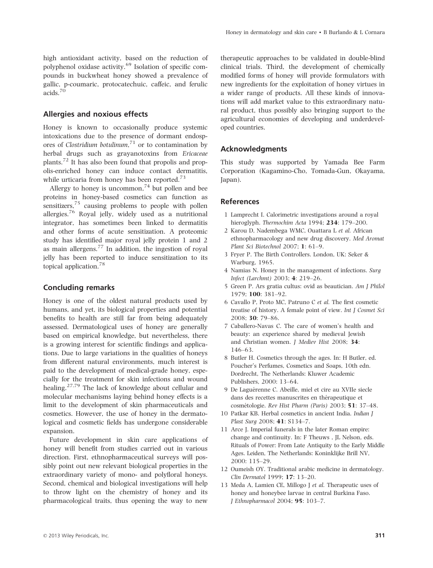high antioxidant activity, based on the reduction of polyphenol oxidase activity.<sup>69</sup> Isolation of specific compounds in buckwheat honey showed a prevalence of gallic, p-coumaric, protocatechuic, caffeic, and ferulic acids.<sup>70</sup>

#### Allergies and noxious effects

Honey is known to occasionally produce systemic intoxications due to the presence of dormant endospores of Clostridium botulinum,<sup>71</sup> or to contamination by herbal drugs such as grayanotoxins from Ericaceae plants.<sup>72</sup> It has also been found that propolis and propolis-enriched honey can induce contact dermatitis, while urticaria from honey has been reported.<sup>73</sup>

Allergy to honey is uncommon,<sup>74</sup> but pollen and bee proteins in honey-based cosmetics can function as sensitizers, $75$  causing problems to people with pollen allergies.<sup>76</sup> Royal jelly, widely used as a nutritional integrator, has sometimes been linked to dermatitis and other forms of acute sensitization. A proteomic study has identified major royal jelly protein 1 and 2 as main allergens.<sup>77</sup> In addition, the ingestion of royal jelly has been reported to induce sensitization to its topical application.78

#### Concluding remarks

Honey is one of the oldest natural products used by humans, and yet, its biological properties and potential benefits to health are still far from being adequately assessed. Dermatological uses of honey are generally based on empirical knowledge, but nevertheless, there is a growing interest for scientific findings and applications. Due to large variations in the qualities of honeys from different natural environments, much interest is paid to the development of medical-grade honey, especially for the treatment for skin infections and wound healing.27,79 The lack of knowledge about cellular and molecular mechanisms laying behind honey effects is a limit to the development of skin pharmaceuticals and cosmetics. However, the use of honey in the dermatological and cosmetic fields has undergone considerable expansion.

Future development in skin care applications of honey will benefit from studies carried out in various direction. First, ethnopharmaceutical surveys will possibly point out new relevant biological properties in the extraordinary variety of mono- and polyfloral honeys. Second, chemical and biological investigations will help to throw light on the chemistry of honey and its pharmacological traits, thus opening the way to new

therapeutic approaches to be validated in double-blind clinical trials. Third, the development of chemically modified forms of honey will provide formulators with new ingredients for the exploitation of honey virtues in a wider range of products. All these kinds of innovations will add market value to this extraordinary natural product, thus possibly also bringing support to the agricultural economies of developing and underdeveloped countries.

#### Acknowledgments

This study was supported by Yamada Bee Farm Corporation (Kagamino-Cho, Tomada-Gun, Okayama, Japan).

#### References

- 1 Lamprecht I. Calorimetric investigations around a royal hieroglyph. Thermochim Acta 1994; 234: 179-200.
- 2 Karou D, Nadembega WMC, Ouattara L et al. African ethnopharmacology and new drug discovery. Med Aromat Plant Sci Biotechnol 2007; 1: 61–9.
- 3 Fryer P. The Birth Controllers. London, UK: Seker & Warburg, 1965.
- 4 Namias N. Honey in the management of infections. Surg Infect (Larchmt) 2003; 4: 219–26.
- 5 Green P. Ars gratia cultus: ovid as beautician. Am J Philol 1979; 100: 381–92.
- 6 Cavallo P, Proto MC, Patruno C et al. The first cosmetic treatise of history. A female point of view. Int J Cosmet Sci 2008; 30: 79–86.
- 7 Caballero-Navas C. The care of women's health and beauty: an experience shared by medieval Jewish and Christian women. J Mediev Hist 2008; 34: 146–63.
- 8 Butler H. Cosmetics through the ages. In: H Butler, ed. Poucher's Perfumes, Cosmetics and Soaps, 10th edn. Dordrecht, The Netherlands: Kluwer Academic Publishers, 2000: 13–64.
- 9 De Laguérenne C. Abeille, miel et cire au XVIIe siecle dans des recettes manuscrites en thérapeutique et cosmé tologie. Rev Hist Pharm (Paris) 2003; 51: 37–48.
- 10 Patkar KB. Herbal cosmetics in ancient India. Indian J Plast Surg 2008; 41: S134–7.
- 11 Arce J. Imperial funerals in the later Roman empire: change and continuity. In: F Theuws , JL Nelson, eds. Rituals of Power: From Late Antiquity to the Early Middle Ages. Leiden, The Netherlands: Koninklijke Brill NV, 2000: 115–29.
- 12 Oumeish OY. Traditional arabic medicine in dermatology. Clin Dermatol 1999; 17: 13–20.
- 13 Meda A, Lamien CE, Millogo J et al. Therapeutic uses of honey and honeybee larvae in central Burkina Faso. J Ethnopharmacol 2004; 95: 103–7.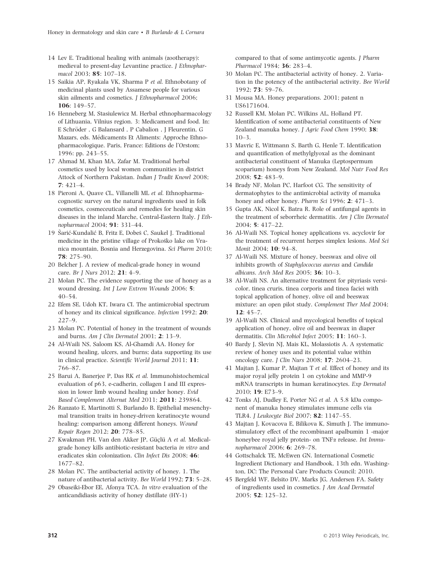- 14 Lev E. Traditional healing with animals (zootherapy): medieval to present-day Levantine practice. J Ethnopharmacol 2003; 85: 107–18.
- 15 Saikia AP, Ryakala VK, Sharma P et al. Ethnobotany of medicinal plants used by Assamese people for various skin ailments and cosmetics. J Ethnopharmacol 2006; 106: 149–57.
- 16 Henneberg M, Stasiulewicz M. Herbal ethnopharmacology of Lithuania, Vilnius region. 3: Medicament and food. In:  ${\bf E}$  Schröder ,  ${\bf G}$  Balansard ,  ${\bf P}$  Cabalion ,  ${\bf J}$  Fleurentin,  ${\bf G}$ Mazars, eds. Medicaments Et Aliments: Approche Ethnopharmacologique. Paris, France: Editions de l'Orstom; 1996: pp. 243–55.
- 17 Ahmad M, Khan MA, Zafar M. Traditional herbal cosmetics used by local women communities in district Attock of Northern Pakistan. Indian J Tradit Knowl 2008; 7: 421–4.
- 18 Pieroni A, Quave CL, Villanelli ML et al. Ethnopharmacognostic survey on the natural ingredients used in folk cosmetics, cosmeceuticals and remedies for healing skin diseases in the inland Marche, Central-Eastern Italy. J Ethnopharmacol 2004; 91: 331–44.
- 19 Šarić-Kundalić B, Fritz E, Dobeš C, Saukel J. Traditional medicine in the pristine village of Prokosko lake on Vranica mountain, Bosnia and Herzegovina. Sci Pharm 2010; 78: 275–90.
- 20 Belcher J. A review of medical-grade honey in wound care. Br J Nurs 2012; **21**: 4-9.
- 21 Molan PC. The evidence supporting the use of honey as a wound dressing. Int J Low Extrem Wounds 2006; 5:  $40 - 54$ .
- 22 Efem SE, Udoh KT, Iwara CI. The antimicrobial spectrum of honey and its clinical significance. Infection 1992; 20: 227–9.
- 23 Molan PC. Potential of honey in the treatment of wounds and burns. Am J Clin Dermatol 2001; 2: 13–9.
- 24 Al-Waili NS, Saloom KS, Al-Ghamdi AA. Honey for wound healing, ulcers, and burns; data supporting its use in clinical practice. Scientific World Journal 2011; 11: 766–87.
- 25 Barui A, Banerjee P, Das RK et al. Immunohistochemical evaluation of p63, e-cadherin, collagen I and III expression in lower limb wound healing under honey. Evid Based Complement Alternat Med 2011; 2011: 239864.
- 26 Ranzato E, Martinotti S, Burlando B. Epithelial mesenchymal transition traits in honey-driven keratinocyte wound healing: comparison among different honeys. Wound Repair Regen 2012; 20: 778–85.
- 27 Kwakman PH, Van den Akker JP, Güçlü A et al. Medicalgrade honey kills antibiotic-resistant bacteria in vitro and eradicates skin colonization. Clin Infect Dis 2008; 46: 1677–82.
- 28 Molan PC. The antibacterial activity of honey. 1. The nature of antibacterial activity. Bee World 1992; 73: 5–28.
- 29 Obaseiki-Ebor EE, Afonya TCA. In vitro evaluation of the anticandidiasis activity of honey distillate (HY-1)

compared to that of some antimycotic agents. J Pharm Pharmacol 1984; 36: 283–4.

- 30 Molan PC. The antibacterial activity of honey. 2. Variation in the potency of the antibacterial activity. Bee World 1992; 73: 59–76.
- 31 Mousa MA. Honey preparations. 2001; patent n US6171604.
- 32 Russell KM, Molan PC, Wilkins AL, Holland PT. Identification of some antibacterial constituents of New Zealand manuka honey. J Agric Food Chem 1990; 38:  $10-3.$
- 33 Mavric E, Wittmann S, Barth G, Henle T. Identification and quantification of methylglyoxal as the dominant antibacterial constituent of Manuka (Leptospermum scoparium) honeys from New Zealand. Mol Nutr Food Res 2008; 52: 483–9.
- 34 Brady NF, Molan PC, Harfoot CG. The sensitivity of dermatophytes to the antimicrobial activity of manuka honey and other honey. *Pharm Sci* 1996; **2**: 471–3.
- 35 Gupta AK, Nicol K, Batra R. Role of antifungal agents in the treatment of seborrheic dermatitis. Am J Clin Dermatol 2004; 5: 417–22.
- 36 Al-Waili NS. Topical honey applications vs. acyclovir for the treatment of recurrent herpes simplex lesions. Med Sci Monit 2004; 10: 94–8.
- 37 Al-Waili NS. Mixture of honey, beeswax and olive oil inhibits growth of Staphylococcus aureus and Candida albicans. Arch Med Res 2005; 36: 10–3.
- 38 Al-Waili NS. An alternative treatment for pityriasis versicolor, tinea cruris, tinea corporis and tinea faciei with topical application of honey, olive oil and beeswax mixture: an open pilot study. Complement Ther Med 2004; 12: 45–7.
- 39 Al-Waili NS. Clinical and mycological benefits of topical application of honey, olive oil and beeswax in diaper dermatitis. Clin Microbiol Infect 2005; 11: 160–3.
- 40 Bardy J, Slevin NJ, Mais KL, Molassiotis A. A systematic review of honey uses and its potential value within oncology care. J Clin Nurs 2008; 17: 2604–23.
- 41 Majtan J, Kumar P, Majtan T et al. Effect of honey and its major royal jelly protein 1 on cytokine and MMP-9 mRNA transcripts in human keratinocytes. Exp Dermatol 2010; 19: E73–9.
- 42 Tonks AJ, Dudley E, Porter NG et al. A 5.8 kDa component of manuka honey stimulates immune cells via TLR4. J Leukocyte Biol 2007; 82: 1147–55.
- 43 Majtan J, Kovacova E, Bilikova K, Simuth J. The immunostimulatory effect of the recombinant apalbumin 1 -major honeybee royal jelly protein- on TNF $\alpha$  release. Int Immunopharmacol 2006; 6: 269–78.
- 44 Gottschalck TE, McEwen GN. International Cosmetic Ingredient Dictionary and Handbook, 13th edn. Washington, DC: The Personal Care Products Council; 2010.
- 45 Bergfeld WF, Belsito DV, Marks JG, Andersen FA. Safety of ingredients used in cosmetics. J Am Acad Dermatol 2005; 52: 125–32.